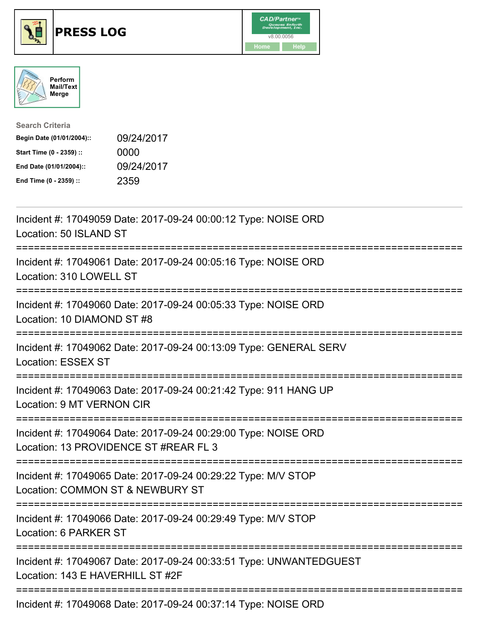





| <b>Search Criteria</b>    |            |
|---------------------------|------------|
| Begin Date (01/01/2004):: | 09/24/2017 |
| Start Time (0 - 2359) ::  | 0000       |
| End Date (01/01/2004)::   | 09/24/2017 |
| End Time (0 - 2359) ::    | 2359       |

| Incident #: 17049059 Date: 2017-09-24 00:00:12 Type: NOISE ORD<br>Location: 50 ISLAND ST                                                                             |
|----------------------------------------------------------------------------------------------------------------------------------------------------------------------|
| Incident #: 17049061 Date: 2017-09-24 00:05:16 Type: NOISE ORD<br>Location: 310 LOWELL ST<br>-----------                                                             |
| Incident #: 17049060 Date: 2017-09-24 00:05:33 Type: NOISE ORD<br>Location: 10 DIAMOND ST #8<br>:==============                                                      |
| Incident #: 17049062 Date: 2017-09-24 00:13:09 Type: GENERAL SERV<br><b>Location: ESSEX ST</b><br>:======================                                            |
| Incident #: 17049063 Date: 2017-09-24 00:21:42 Type: 911 HANG UP<br>Location: 9 MT VERNON CIR                                                                        |
| Incident #: 17049064 Date: 2017-09-24 00:29:00 Type: NOISE ORD<br>Location: 13 PROVIDENCE ST #REAR FL 3<br>========================<br>============================= |
| Incident #: 17049065 Date: 2017-09-24 00:29:22 Type: M/V STOP<br>Location: COMMON ST & NEWBURY ST<br>===========================                                     |
| Incident #: 17049066 Date: 2017-09-24 00:29:49 Type: M/V STOP<br>Location: 6 PARKER ST                                                                               |
| Incident #: 17049067 Date: 2017-09-24 00:33:51 Type: UNWANTEDGUEST<br>Location: 143 E HAVERHILL ST #2F                                                               |
| Incident #: 17049068 Date: 2017-09-24 00:37:14 Type: NOISE ORD                                                                                                       |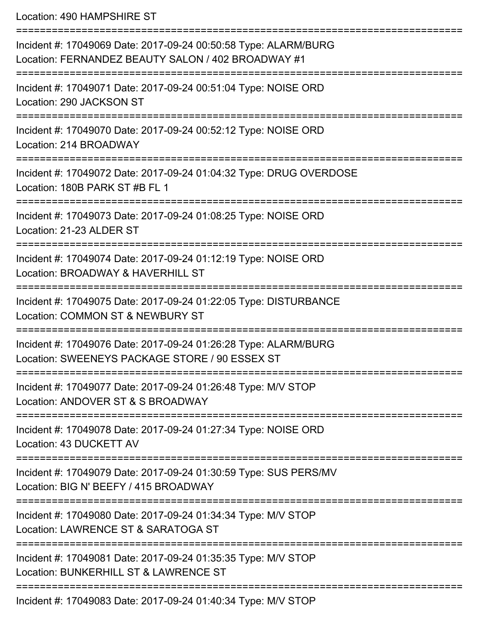Location: 490 HAMPSHIRE ST

| Incident #: 17049069 Date: 2017-09-24 00:50:58 Type: ALARM/BURG<br>Location: FERNANDEZ BEAUTY SALON / 402 BROADWAY #1 |
|-----------------------------------------------------------------------------------------------------------------------|
| Incident #: 17049071 Date: 2017-09-24 00:51:04 Type: NOISE ORD<br>Location: 290 JACKSON ST                            |
| Incident #: 17049070 Date: 2017-09-24 00:52:12 Type: NOISE ORD<br>Location: 214 BROADWAY                              |
| Incident #: 17049072 Date: 2017-09-24 01:04:32 Type: DRUG OVERDOSE<br>Location: 180B PARK ST #B FL 1                  |
| Incident #: 17049073 Date: 2017-09-24 01:08:25 Type: NOISE ORD<br>Location: 21-23 ALDER ST                            |
| Incident #: 17049074 Date: 2017-09-24 01:12:19 Type: NOISE ORD<br>Location: BROADWAY & HAVERHILL ST                   |
| Incident #: 17049075 Date: 2017-09-24 01:22:05 Type: DISTURBANCE<br>Location: COMMON ST & NEWBURY ST                  |
| Incident #: 17049076 Date: 2017-09-24 01:26:28 Type: ALARM/BURG<br>Location: SWEENEYS PACKAGE STORE / 90 ESSEX ST     |
| Incident #: 17049077 Date: 2017-09-24 01:26:48 Type: M/V STOP<br>Location: ANDOVER ST & S BROADWAY                    |
| Incident #: 17049078 Date: 2017-09-24 01:27:34 Type: NOISE ORD<br>Location: 43 DUCKETT AV                             |
| Incident #: 17049079 Date: 2017-09-24 01:30:59 Type: SUS PERS/MV<br>Location: BIG N' BEEFY / 415 BROADWAY             |
| Incident #: 17049080 Date: 2017-09-24 01:34:34 Type: M/V STOP<br>Location: LAWRENCE ST & SARATOGA ST                  |
| Incident #: 17049081 Date: 2017-09-24 01:35:35 Type: M/V STOP<br>Location: BUNKERHILL ST & LAWRENCE ST                |
| Incident #: 17049083 Date: 2017-09-24 01:40:34 Type: M/V STOP                                                         |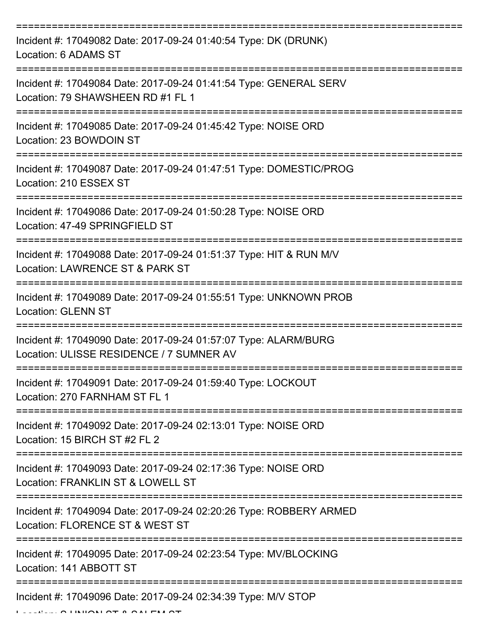| Incident #: 17049082 Date: 2017-09-24 01:40:54 Type: DK (DRUNK)<br>Location: 6 ADAMS ST                                   |
|---------------------------------------------------------------------------------------------------------------------------|
| Incident #: 17049084 Date: 2017-09-24 01:41:54 Type: GENERAL SERV<br>Location: 79 SHAWSHEEN RD #1 FL 1                    |
| Incident #: 17049085 Date: 2017-09-24 01:45:42 Type: NOISE ORD<br>Location: 23 BOWDOIN ST                                 |
| Incident #: 17049087 Date: 2017-09-24 01:47:51 Type: DOMESTIC/PROG<br>Location: 210 ESSEX ST                              |
| Incident #: 17049086 Date: 2017-09-24 01:50:28 Type: NOISE ORD<br>Location: 47-49 SPRINGFIELD ST                          |
| :===============<br>Incident #: 17049088 Date: 2017-09-24 01:51:37 Type: HIT & RUN M/V<br>Location: LAWRENCE ST & PARK ST |
| Incident #: 17049089 Date: 2017-09-24 01:55:51 Type: UNKNOWN PROB<br><b>Location: GLENN ST</b>                            |
| Incident #: 17049090 Date: 2017-09-24 01:57:07 Type: ALARM/BURG<br>Location: ULISSE RESIDENCE / 7 SUMNER AV               |
| Incident #: 17049091 Date: 2017-09-24 01:59:40 Type: LOCKOUT<br>Location: 270 FARNHAM ST FL 1                             |
| Incident #: 17049092 Date: 2017-09-24 02:13:01 Type: NOISE ORD<br>Location: 15 BIRCH ST #2 FL 2                           |
| Incident #: 17049093 Date: 2017-09-24 02:17:36 Type: NOISE ORD<br>Location: FRANKLIN ST & LOWELL ST                       |
| Incident #: 17049094 Date: 2017-09-24 02:20:26 Type: ROBBERY ARMED<br>Location: FLORENCE ST & WEST ST                     |
| Incident #: 17049095 Date: 2017-09-24 02:23:54 Type: MV/BLOCKING<br>Location: 141 ABBOTT ST                               |
| Incident #: 17049096 Date: 2017-09-24 02:34:39 Type: M/V STOP                                                             |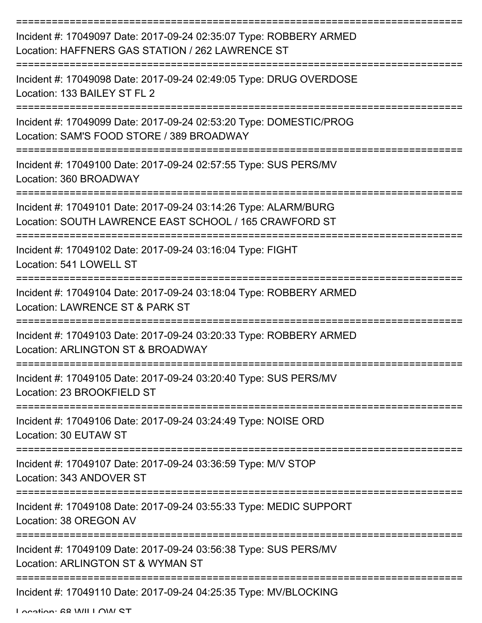| Incident #: 17049097 Date: 2017-09-24 02:35:07 Type: ROBBERY ARMED<br>Location: HAFFNERS GAS STATION / 262 LAWRENCE ST    |
|---------------------------------------------------------------------------------------------------------------------------|
| Incident #: 17049098 Date: 2017-09-24 02:49:05 Type: DRUG OVERDOSE<br>Location: 133 BAILEY ST FL 2                        |
| Incident #: 17049099 Date: 2017-09-24 02:53:20 Type: DOMESTIC/PROG<br>Location: SAM'S FOOD STORE / 389 BROADWAY           |
| Incident #: 17049100 Date: 2017-09-24 02:57:55 Type: SUS PERS/MV<br>Location: 360 BROADWAY                                |
| Incident #: 17049101 Date: 2017-09-24 03:14:26 Type: ALARM/BURG<br>Location: SOUTH LAWRENCE EAST SCHOOL / 165 CRAWFORD ST |
| Incident #: 17049102 Date: 2017-09-24 03:16:04 Type: FIGHT<br>Location: 541 LOWELL ST                                     |
| Incident #: 17049104 Date: 2017-09-24 03:18:04 Type: ROBBERY ARMED<br>Location: LAWRENCE ST & PARK ST                     |
| Incident #: 17049103 Date: 2017-09-24 03:20:33 Type: ROBBERY ARMED<br>Location: ARLINGTON ST & BROADWAY                   |
| Incident #: 17049105 Date: 2017-09-24 03:20:40 Type: SUS PERS/MV<br>Location: 23 BROOKFIELD ST                            |
| Incident #: 17049106 Date: 2017-09-24 03:24:49 Type: NOISE ORD<br>Location: 30 EUTAW ST                                   |
| Incident #: 17049107 Date: 2017-09-24 03:36:59 Type: M/V STOP<br>Location: 343 ANDOVER ST<br>=======================      |
| Incident #: 17049108 Date: 2017-09-24 03:55:33 Type: MEDIC SUPPORT<br>Location: 38 OREGON AV                              |
| Incident #: 17049109 Date: 2017-09-24 03:56:38 Type: SUS PERS/MV<br>Location: ARLINGTON ST & WYMAN ST                     |
| Incident #: 17049110 Date: 2017-09-24 04:25:35 Type: MV/BLOCKING                                                          |

Location: 68 WILLOW ST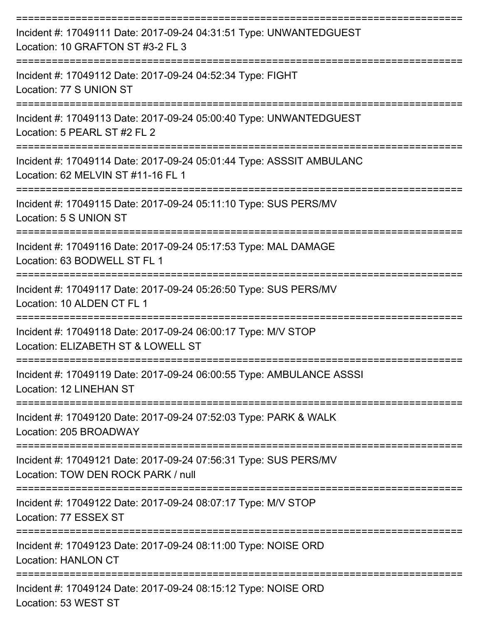| Incident #: 17049111 Date: 2017-09-24 04:31:51 Type: UNWANTEDGUEST<br>Location: 10 GRAFTON ST #3-2 FL 3    |
|------------------------------------------------------------------------------------------------------------|
| Incident #: 17049112 Date: 2017-09-24 04:52:34 Type: FIGHT<br>Location: 77 S UNION ST                      |
| Incident #: 17049113 Date: 2017-09-24 05:00:40 Type: UNWANTEDGUEST<br>Location: 5 PEARL ST #2 FL 2         |
| Incident #: 17049114 Date: 2017-09-24 05:01:44 Type: ASSSIT AMBULANC<br>Location: 62 MELVIN ST #11-16 FL 1 |
| Incident #: 17049115 Date: 2017-09-24 05:11:10 Type: SUS PERS/MV<br>Location: 5 S UNION ST                 |
| Incident #: 17049116 Date: 2017-09-24 05:17:53 Type: MAL DAMAGE<br>Location: 63 BODWELL ST FL 1            |
| Incident #: 17049117 Date: 2017-09-24 05:26:50 Type: SUS PERS/MV<br>Location: 10 ALDEN CT FL 1             |
| Incident #: 17049118 Date: 2017-09-24 06:00:17 Type: M/V STOP<br>Location: ELIZABETH ST & LOWELL ST        |
| Incident #: 17049119 Date: 2017-09-24 06:00:55 Type: AMBULANCE ASSSI<br>Location: 12 LINEHAN ST            |
| Incident #: 17049120 Date: 2017-09-24 07:52:03 Type: PARK & WALK<br>Location: 205 BROADWAY                 |
| Incident #: 17049121 Date: 2017-09-24 07:56:31 Type: SUS PERS/MV<br>Location: TOW DEN ROCK PARK / null     |
| Incident #: 17049122 Date: 2017-09-24 08:07:17 Type: M/V STOP<br>Location: 77 ESSEX ST                     |
| Incident #: 17049123 Date: 2017-09-24 08:11:00 Type: NOISE ORD<br><b>Location: HANLON CT</b>               |
| Incident #: 17049124 Date: 2017-09-24 08:15:12 Type: NOISE ORD<br>Location: 53 WEST ST                     |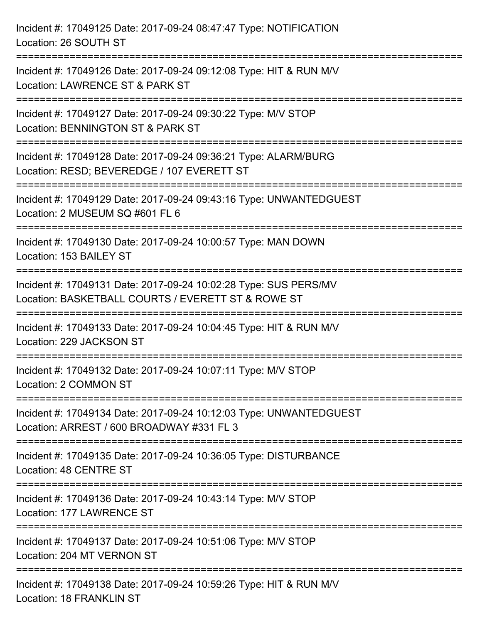| Incident #: 17049125 Date: 2017-09-24 08:47:47 Type: NOTIFICATION<br>Location: 26 SOUTH ST                                          |
|-------------------------------------------------------------------------------------------------------------------------------------|
| Incident #: 17049126 Date: 2017-09-24 09:12:08 Type: HIT & RUN M/V<br>Location: LAWRENCE ST & PARK ST                               |
| Incident #: 17049127 Date: 2017-09-24 09:30:22 Type: M/V STOP<br>Location: BENNINGTON ST & PARK ST<br>============================= |
| Incident #: 17049128 Date: 2017-09-24 09:36:21 Type: ALARM/BURG<br>Location: RESD; BEVEREDGE / 107 EVERETT ST                       |
| Incident #: 17049129 Date: 2017-09-24 09:43:16 Type: UNWANTEDGUEST<br>Location: 2 MUSEUM SQ #601 FL 6                               |
| Incident #: 17049130 Date: 2017-09-24 10:00:57 Type: MAN DOWN<br>Location: 153 BAILEY ST                                            |
| Incident #: 17049131 Date: 2017-09-24 10:02:28 Type: SUS PERS/MV<br>Location: BASKETBALL COURTS / EVERETT ST & ROWE ST              |
| Incident #: 17049133 Date: 2017-09-24 10:04:45 Type: HIT & RUN M/V<br>Location: 229 JACKSON ST                                      |
| Incident #: 17049132 Date: 2017-09-24 10:07:11 Type: M/V STOP<br>Location: 2 COMMON ST                                              |
| Incident #: 17049134 Date: 2017-09-24 10:12:03 Type: UNWANTEDGUEST<br>Location: ARREST / 600 BROADWAY #331 FL 3                     |
| Incident #: 17049135 Date: 2017-09-24 10:36:05 Type: DISTURBANCE<br>Location: 48 CENTRE ST                                          |
| ===================================<br>Incident #: 17049136 Date: 2017-09-24 10:43:14 Type: M/V STOP<br>Location: 177 LAWRENCE ST   |
| Incident #: 17049137 Date: 2017-09-24 10:51:06 Type: M/V STOP<br>Location: 204 MT VERNON ST                                         |
| Incident #: 17049138 Date: 2017-09-24 10:59:26 Type: HIT & RUN M/V<br><b>Location: 18 FRANKLIN ST</b>                               |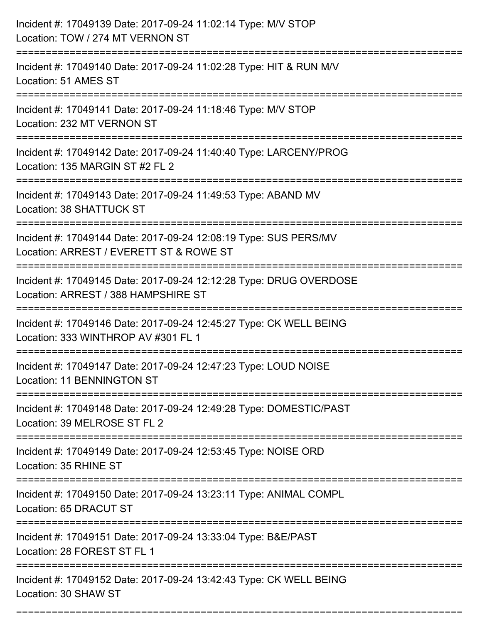| Incident #: 17049139 Date: 2017-09-24 11:02:14 Type: M/V STOP<br>Location: TOW / 274 MT VERNON ST                           |
|-----------------------------------------------------------------------------------------------------------------------------|
| ======================<br>Incident #: 17049140 Date: 2017-09-24 11:02:28 Type: HIT & RUN M/V<br>Location: 51 AMES ST        |
| Incident #: 17049141 Date: 2017-09-24 11:18:46 Type: M/V STOP<br>Location: 232 MT VERNON ST<br>:=========================== |
| Incident #: 17049142 Date: 2017-09-24 11:40:40 Type: LARCENY/PROG<br>Location: 135 MARGIN ST #2 FL 2                        |
| Incident #: 17049143 Date: 2017-09-24 11:49:53 Type: ABAND MV<br>Location: 38 SHATTUCK ST                                   |
| Incident #: 17049144 Date: 2017-09-24 12:08:19 Type: SUS PERS/MV<br>Location: ARREST / EVERETT ST & ROWE ST                 |
| Incident #: 17049145 Date: 2017-09-24 12:12:28 Type: DRUG OVERDOSE<br>Location: ARREST / 388 HAMPSHIRE ST                   |
| Incident #: 17049146 Date: 2017-09-24 12:45:27 Type: CK WELL BEING<br>Location: 333 WINTHROP AV #301 FL 1                   |
| Incident #: 17049147 Date: 2017-09-24 12:47:23 Type: LOUD NOISE<br>Location: 11 BENNINGTON ST                               |
| Incident #: 17049148 Date: 2017-09-24 12:49:28 Type: DOMESTIC/PAST<br>Location: 39 MELROSE ST FL 2                          |
| Incident #: 17049149 Date: 2017-09-24 12:53:45 Type: NOISE ORD<br>Location: 35 RHINE ST                                     |
| Incident #: 17049150 Date: 2017-09-24 13:23:11 Type: ANIMAL COMPL<br>Location: 65 DRACUT ST                                 |
| Incident #: 17049151 Date: 2017-09-24 13:33:04 Type: B&E/PAST<br>Location: 28 FOREST ST FL 1                                |
| Incident #: 17049152 Date: 2017-09-24 13:42:43 Type: CK WELL BEING<br>Location: 30 SHAW ST                                  |

===========================================================================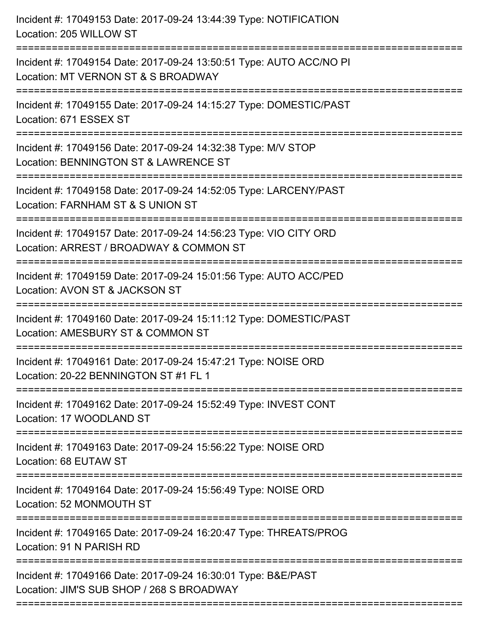| Incident #: 17049153 Date: 2017-09-24 13:44:39 Type: NOTIFICATION<br>Location: 205 WILLOW ST                                                             |
|----------------------------------------------------------------------------------------------------------------------------------------------------------|
| Incident #: 17049154 Date: 2017-09-24 13:50:51 Type: AUTO ACC/NO PI<br>Location: MT VERNON ST & S BROADWAY                                               |
| Incident #: 17049155 Date: 2017-09-24 14:15:27 Type: DOMESTIC/PAST<br>Location: 671 ESSEX ST                                                             |
| Incident #: 17049156 Date: 2017-09-24 14:32:38 Type: M/V STOP<br>Location: BENNINGTON ST & LAWRENCE ST                                                   |
| Incident #: 17049158 Date: 2017-09-24 14:52:05 Type: LARCENY/PAST<br>Location: FARNHAM ST & S UNION ST<br>==================<br>------------------------ |
| Incident #: 17049157 Date: 2017-09-24 14:56:23 Type: VIO CITY ORD<br>Location: ARREST / BROADWAY & COMMON ST                                             |
| Incident #: 17049159 Date: 2017-09-24 15:01:56 Type: AUTO ACC/PED<br>Location: AVON ST & JACKSON ST<br>==============================                    |
| Incident #: 17049160 Date: 2017-09-24 15:11:12 Type: DOMESTIC/PAST<br>Location: AMESBURY ST & COMMON ST                                                  |
| Incident #: 17049161 Date: 2017-09-24 15:47:21 Type: NOISE ORD<br>Location: 20-22 BENNINGTON ST #1 FL 1                                                  |
| Incident #: 17049162 Date: 2017-09-24 15:52:49 Type: INVEST CONT<br>Location: 17 WOODLAND ST                                                             |
| Incident #: 17049163 Date: 2017-09-24 15:56:22 Type: NOISE ORD<br>Location: 68 EUTAW ST                                                                  |
| Incident #: 17049164 Date: 2017-09-24 15:56:49 Type: NOISE ORD<br>Location: 52 MONMOUTH ST                                                               |
| Incident #: 17049165 Date: 2017-09-24 16:20:47 Type: THREATS/PROG<br>Location: 91 N PARISH RD                                                            |
| Incident #: 17049166 Date: 2017-09-24 16:30:01 Type: B&E/PAST<br>Location: JIM'S SUB SHOP / 268 S BROADWAY                                               |
|                                                                                                                                                          |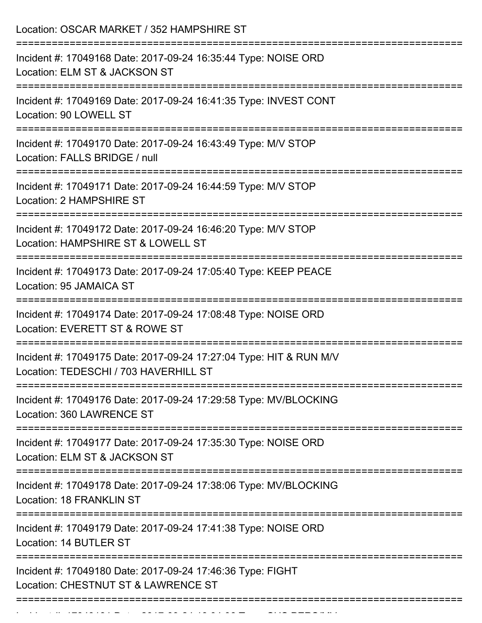| Location: OSCAR MARKET / 352 HAMPSHIRE ST                                                                                                  |
|--------------------------------------------------------------------------------------------------------------------------------------------|
| Incident #: 17049168 Date: 2017-09-24 16:35:44 Type: NOISE ORD<br>Location: ELM ST & JACKSON ST                                            |
| Incident #: 17049169 Date: 2017-09-24 16:41:35 Type: INVEST CONT<br>Location: 90 LOWELL ST                                                 |
| Incident #: 17049170 Date: 2017-09-24 16:43:49 Type: M/V STOP<br>Location: FALLS BRIDGE / null                                             |
| Incident #: 17049171 Date: 2017-09-24 16:44:59 Type: M/V STOP<br>Location: 2 HAMPSHIRE ST                                                  |
| Incident #: 17049172 Date: 2017-09-24 16:46:20 Type: M/V STOP<br>Location: HAMPSHIRE ST & LOWELL ST                                        |
| Incident #: 17049173 Date: 2017-09-24 17:05:40 Type: KEEP PEACE<br>Location: 95 JAMAICA ST                                                 |
| Incident #: 17049174 Date: 2017-09-24 17:08:48 Type: NOISE ORD<br>Location: EVERETT ST & ROWE ST                                           |
| Incident #: 17049175 Date: 2017-09-24 17:27:04 Type: HIT & RUN M/V<br>Location: TEDESCHI / 703 HAVERHILL ST                                |
| Incident #: 17049176 Date: 2017-09-24 17:29:58 Type: MV/BLOCKING<br>Location: 360 LAWRENCE ST                                              |
| Incident #: 17049177 Date: 2017-09-24 17:35:30 Type: NOISE ORD<br>Location: ELM ST & JACKSON ST                                            |
| ===================================<br>Incident #: 17049178 Date: 2017-09-24 17:38:06 Type: MV/BLOCKING<br><b>Location: 18 FRANKLIN ST</b> |
| Incident #: 17049179 Date: 2017-09-24 17:41:38 Type: NOISE ORD<br>Location: 14 BUTLER ST                                                   |
| --------------------<br>Incident #: 17049180 Date: 2017-09-24 17:46:36 Type: FIGHT<br>Location: CHESTNUT ST & LAWRENCE ST                  |

Incident #: 17049181 Date: 2017 09 24 18:04:06 Type: SUS PERS/MV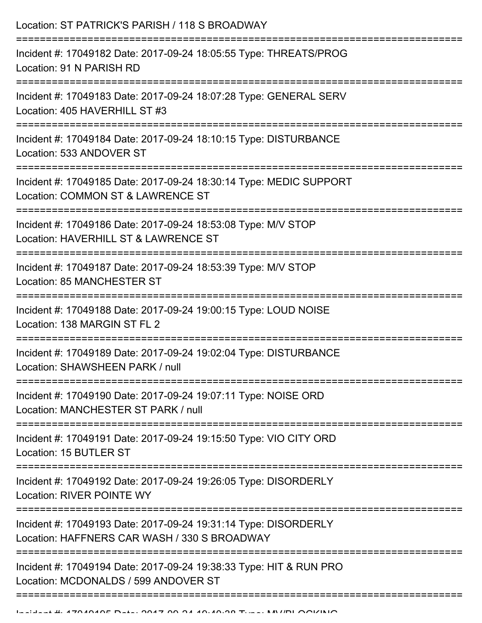| Location: ST PATRICK'S PARISH / 118 S BROADWAY<br>:=============================                                                             |
|----------------------------------------------------------------------------------------------------------------------------------------------|
| Incident #: 17049182 Date: 2017-09-24 18:05:55 Type: THREATS/PROG<br>Location: 91 N PARISH RD                                                |
| Incident #: 17049183 Date: 2017-09-24 18:07:28 Type: GENERAL SERV<br>Location: 405 HAVERHILL ST #3<br>:===================================== |
| Incident #: 17049184 Date: 2017-09-24 18:10:15 Type: DISTURBANCE<br>Location: 533 ANDOVER ST                                                 |
| Incident #: 17049185 Date: 2017-09-24 18:30:14 Type: MEDIC SUPPORT<br>Location: COMMON ST & LAWRENCE ST<br>==================                |
| Incident #: 17049186 Date: 2017-09-24 18:53:08 Type: M/V STOP<br>Location: HAVERHILL ST & LAWRENCE ST                                        |
| Incident #: 17049187 Date: 2017-09-24 18:53:39 Type: M/V STOP<br>Location: 85 MANCHESTER ST                                                  |
| Incident #: 17049188 Date: 2017-09-24 19:00:15 Type: LOUD NOISE<br>Location: 138 MARGIN ST FL 2                                              |
| Incident #: 17049189 Date: 2017-09-24 19:02:04 Type: DISTURBANCE<br>Location: SHAWSHEEN PARK / null                                          |
| Incident #: 17049190 Date: 2017-09-24 19:07:11 Type: NOISE ORD<br>Location: MANCHESTER ST PARK / null                                        |
| Incident #: 17049191 Date: 2017-09-24 19:15:50 Type: VIO CITY ORD<br>Location: 15 BUTLER ST                                                  |
| Incident #: 17049192 Date: 2017-09-24 19:26:05 Type: DISORDERLY<br><b>Location: RIVER POINTE WY</b>                                          |
| Incident #: 17049193 Date: 2017-09-24 19:31:14 Type: DISORDERLY<br>Location: HAFFNERS CAR WASH / 330 S BROADWAY                              |
| Incident #: 17049194 Date: 2017-09-24 19:38:33 Type: HIT & RUN PRO<br>Location: MCDONALDS / 599 ANDOVER ST                                   |
|                                                                                                                                              |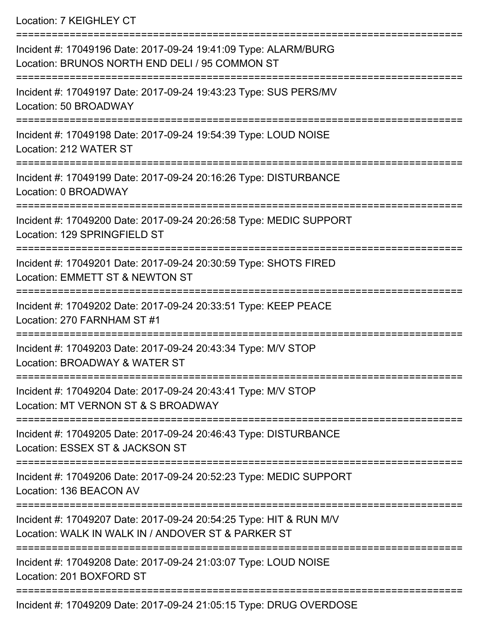Location: 7 KEIGHLEY CT

| Incident #: 17049196 Date: 2017-09-24 19:41:09 Type: ALARM/BURG<br>Location: BRUNOS NORTH END DELI / 95 COMMON ST        |
|--------------------------------------------------------------------------------------------------------------------------|
| Incident #: 17049197 Date: 2017-09-24 19:43:23 Type: SUS PERS/MV<br>Location: 50 BROADWAY                                |
| Incident #: 17049198 Date: 2017-09-24 19:54:39 Type: LOUD NOISE<br>Location: 212 WATER ST                                |
| Incident #: 17049199 Date: 2017-09-24 20:16:26 Type: DISTURBANCE<br>Location: 0 BROADWAY                                 |
| Incident #: 17049200 Date: 2017-09-24 20:26:58 Type: MEDIC SUPPORT<br>Location: 129 SPRINGFIELD ST                       |
| Incident #: 17049201 Date: 2017-09-24 20:30:59 Type: SHOTS FIRED<br>Location: EMMETT ST & NEWTON ST                      |
| Incident #: 17049202 Date: 2017-09-24 20:33:51 Type: KEEP PEACE<br>Location: 270 FARNHAM ST #1                           |
| Incident #: 17049203 Date: 2017-09-24 20:43:34 Type: M/V STOP<br>Location: BROADWAY & WATER ST                           |
| Incident #: 17049204 Date: 2017-09-24 20:43:41 Type: M/V STOP<br>Location: MT VERNON ST & S BROADWAY                     |
| Incident #: 17049205 Date: 2017-09-24 20:46:43 Type: DISTURBANCE<br>Location: ESSEX ST & JACKSON ST                      |
| Incident #: 17049206 Date: 2017-09-24 20:52:23 Type: MEDIC SUPPORT<br>Location: 136 BEACON AV                            |
| Incident #: 17049207 Date: 2017-09-24 20:54:25 Type: HIT & RUN M/V<br>Location: WALK IN WALK IN / ANDOVER ST & PARKER ST |
| Incident #: 17049208 Date: 2017-09-24 21:03:07 Type: LOUD NOISE<br>Location: 201 BOXFORD ST                              |
|                                                                                                                          |

Incident #: 17049209 Date: 2017-09-24 21:05:15 Type: DRUG OVERDOSE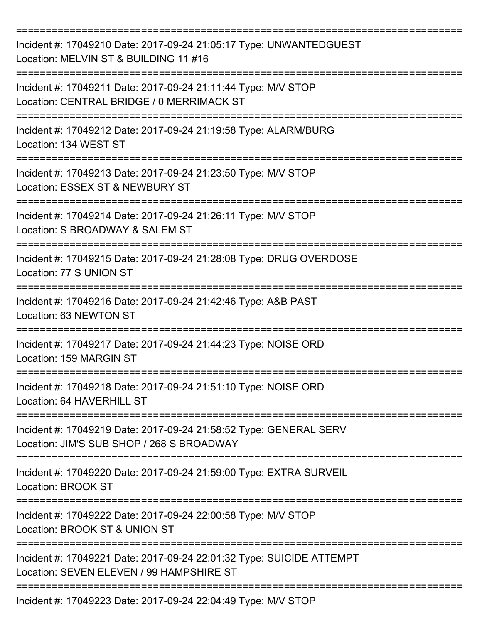| Incident #: 17049210 Date: 2017-09-24 21:05:17 Type: UNWANTEDGUEST<br>Location: MELVIN ST & BUILDING 11 #16             |
|-------------------------------------------------------------------------------------------------------------------------|
| Incident #: 17049211 Date: 2017-09-24 21:11:44 Type: M/V STOP<br>Location: CENTRAL BRIDGE / 0 MERRIMACK ST              |
| Incident #: 17049212 Date: 2017-09-24 21:19:58 Type: ALARM/BURG<br>Location: 134 WEST ST                                |
| Incident #: 17049213 Date: 2017-09-24 21:23:50 Type: M/V STOP<br>Location: ESSEX ST & NEWBURY ST                        |
| Incident #: 17049214 Date: 2017-09-24 21:26:11 Type: M/V STOP<br>Location: S BROADWAY & SALEM ST<br>=================== |
| Incident #: 17049215 Date: 2017-09-24 21:28:08 Type: DRUG OVERDOSE<br>Location: 77 S UNION ST                           |
| Incident #: 17049216 Date: 2017-09-24 21:42:46 Type: A&B PAST<br>Location: 63 NEWTON ST                                 |
| Incident #: 17049217 Date: 2017-09-24 21:44:23 Type: NOISE ORD<br>Location: 159 MARGIN ST                               |
| :==============<br>Incident #: 17049218 Date: 2017-09-24 21:51:10 Type: NOISE ORD<br>Location: 64 HAVERHILL ST          |
| Incident #: 17049219 Date: 2017-09-24 21:58:52 Type: GENERAL SERV<br>Location: JIM'S SUB SHOP / 268 S BROADWAY          |
| Incident #: 17049220 Date: 2017-09-24 21:59:00 Type: EXTRA SURVEIL<br>Location: BROOK ST<br>======================      |
| Incident #: 17049222 Date: 2017-09-24 22:00:58 Type: M/V STOP<br>Location: BROOK ST & UNION ST                          |
| Incident #: 17049221 Date: 2017-09-24 22:01:32 Type: SUICIDE ATTEMPT<br>Location: SEVEN ELEVEN / 99 HAMPSHIRE ST        |
| Incident #: 17049223 Date: 2017-09-24 22:04:49 Type: M/V STOP                                                           |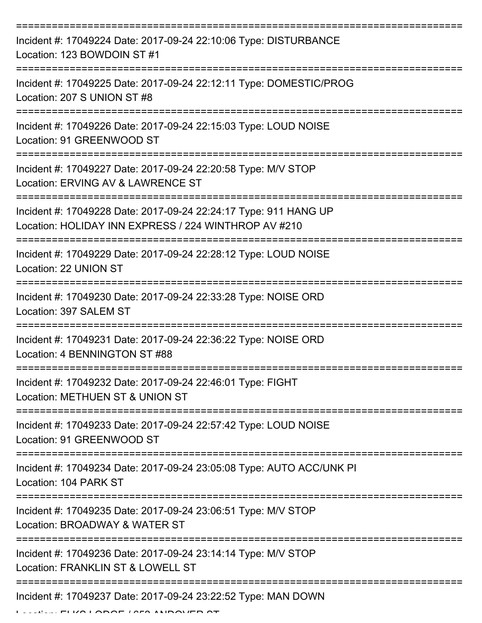| Incident #: 17049224 Date: 2017-09-24 22:10:06 Type: DISTURBANCE<br>Location: 123 BOWDOIN ST #1                          |
|--------------------------------------------------------------------------------------------------------------------------|
| Incident #: 17049225 Date: 2017-09-24 22:12:11 Type: DOMESTIC/PROG<br>Location: 207 S UNION ST #8                        |
| Incident #: 17049226 Date: 2017-09-24 22:15:03 Type: LOUD NOISE<br>Location: 91 GREENWOOD ST                             |
| Incident #: 17049227 Date: 2017-09-24 22:20:58 Type: M/V STOP<br>Location: ERVING AV & LAWRENCE ST                       |
| Incident #: 17049228 Date: 2017-09-24 22:24:17 Type: 911 HANG UP<br>Location: HOLIDAY INN EXPRESS / 224 WINTHROP AV #210 |
| Incident #: 17049229 Date: 2017-09-24 22:28:12 Type: LOUD NOISE<br>Location: 22 UNION ST                                 |
| Incident #: 17049230 Date: 2017-09-24 22:33:28 Type: NOISE ORD<br>Location: 397 SALEM ST                                 |
| Incident #: 17049231 Date: 2017-09-24 22:36:22 Type: NOISE ORD<br>Location: 4 BENNINGTON ST #88                          |
| Incident #: 17049232 Date: 2017-09-24 22:46:01 Type: FIGHT<br>Location: METHUEN ST & UNION ST                            |
| Incident #: 17049233 Date: 2017-09-24 22:57:42 Type: LOUD NOISE<br>Location: 91 GREENWOOD ST                             |
| Incident #: 17049234 Date: 2017-09-24 23:05:08 Type: AUTO ACC/UNK PI<br>Location: 104 PARK ST                            |
| Incident #: 17049235 Date: 2017-09-24 23:06:51 Type: M/V STOP<br>Location: BROADWAY & WATER ST                           |
| Incident #: 17049236 Date: 2017-09-24 23:14:14 Type: M/V STOP<br>Location: FRANKLIN ST & LOWELL ST                       |
| Incident #: 17049237 Date: 2017-09-24 23:22:52 Type: MAN DOWN                                                            |